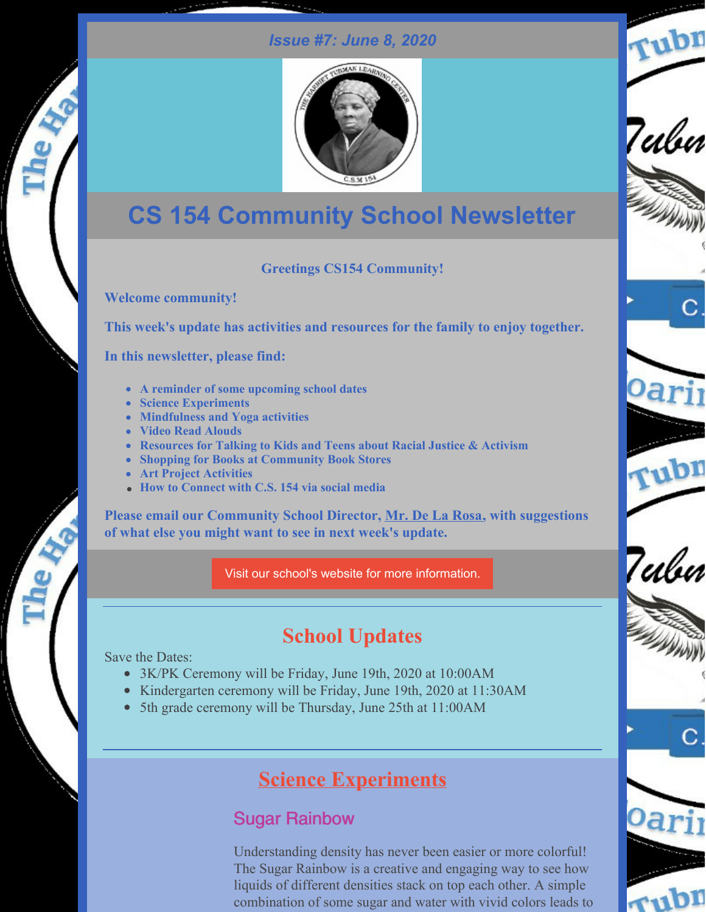#### *Issue #7: June 8, 2020*

Tubn

Tubn

7ulu



# **CS 154 Community School Newsletter**

#### **Greetings CS154 Community!**

**Welcome community!**

**This week's update has activities and resources for the family to enjoy together.**

**In this newsletter, please find:**

- **A reminder of some upcoming school dates**
- **Science Experiments**
- **Mindfulness and Yoga activities**
- **Video Read Alouds**
- **Resources for Talking to Kids and Teens about Racial Justice & Activism**
- **Shopping for Books at Community Book Stores**
- **Art Project Activities**
- **How to Connect with C.S. 154 via social media**

**Please email our Community School Director, Mr. De La [Rosa,](mailto:ad3327@tc.columbia.edu) with suggestions of what else you might want to see in next week's update.**

Visit our school's website for more [information.](http://ps154.com)

## **School Updates**

Save the Dates:

- 3K/PK Ceremony will be Friday, June 19th, 2020 at 10:00AM
- Kindergarten ceremony will be Friday, June 19th, 2020 at 11:30AM
- 5th grade ceremony will be Thursday, June 25th at 11:00AM

### **Science Experiments**

### Sugar Rainbow

Understanding density has never been easier or more colorful! The Sugar Rainbow is a creative and engaging way to see how liquids of different densities stack on top each other. A simple combination of some sugar and water with vivid colors leads to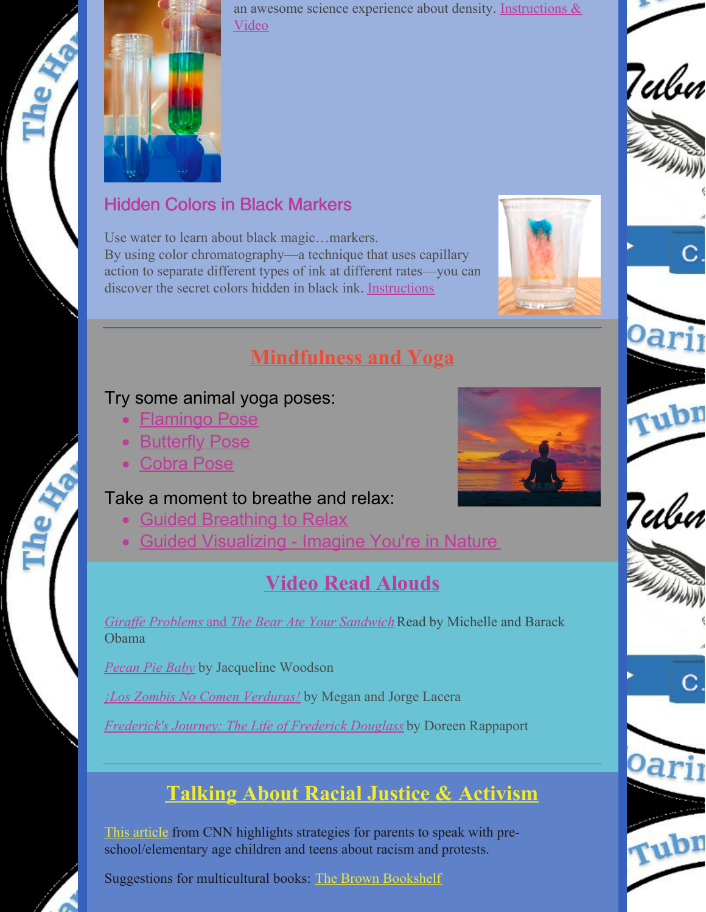

an awesome science experience about density. [Instructions](https://www.stevespanglerscience.com/lab/experiments/sugar-rainbow/) & Video

### Hidden Colors in Black Markers

Use water to learn about black magic…markers. By using color chromatography—a technique that uses capillary action to separate different types of ink at different rates—you can discover the secret colors hidden in black ink. [Instructions](https://www.exploratorium.edu/snacks/separation-anxiety)



### **Mindfulness and Yoga**

#### Try some animal yoga poses:

- **[Flamingo](https://drive.google.com/file/d/13oQV5NsC4xKeULPDZ8zWfH4Xlb1xpfI_/view?usp=sharing) Pose**
- [Butterfly](https://drive.google.com/file/d/1IdG03xajT7tMp2imjh7v_hEVnxxiSQvN/view?usp=sharing) Pose
- [Cobra](https://drive.google.com/file/d/1GbylEujhevfhBbHiRP8_3RHqlpOV14wF/view?usp=sharing) Pose

#### Take a moment to breathe and relax:

- Guided [Breathing](https://drive.google.com/file/d/1d5Y4Pcu0oXklVwPmLkuzDYWnoAlw_gBr/view?usp=sharing) to Relax
- Guided [Visualizing](https://drive.google.com/file/d/1zUUO1r-q5PuzlLwOCe2s4J32Pe7LrfFp/view?usp=sharing) Imagine You're in Nature

## **Video Read Alouds**

*Giraffe [Problems](https://www.youtube.com/watch?v=vXaYnnnl_34)* [and](https://www.youtube.com/watch?v=vXaYnnnl_34) *The Bear Ate Your [Sandwich](https://www.youtube.com/watch?v=vXaYnnnl_34)* Read by Michelle and Barack Obama

*[Pecan](https://drive.google.com/file/d/1sn1GldowN9Rwm2w0a0a5qB90Tb_XvhIa/view?usp=sharing) Pie Baby* by Jacqueline Woodson

*¡Los Zombis No Comen [Verduras!](https://www.storylineonline.net/books/los-zombis-no-comen-verduras/)* by Megan and Jorge Lacera

*[Frederick's](https://www.justbooksreadaloud.com/ReadToMe.php?vid=FredericksJourney&iP=IndexCategory.php&t=Long&p1=&p2=) Journey: The Life of Frederick Douglass* by Doreen Rappaport

## **Talking About Racial Justice & Activism**

This [article](https://www.cnn.com/2020/06/01/health/protests-racism-talk-to-children-wellness/index.html) from CNN highlights strategies for parents to speak with preschool/elementary age children and teens about racism and protests.

Suggestions for multicultural books: The Brown [Bookshelf](https://thebrownbookshelf.com/28days/28-days-later-becomes-29-our-familys-work/)





rubr

Tubn

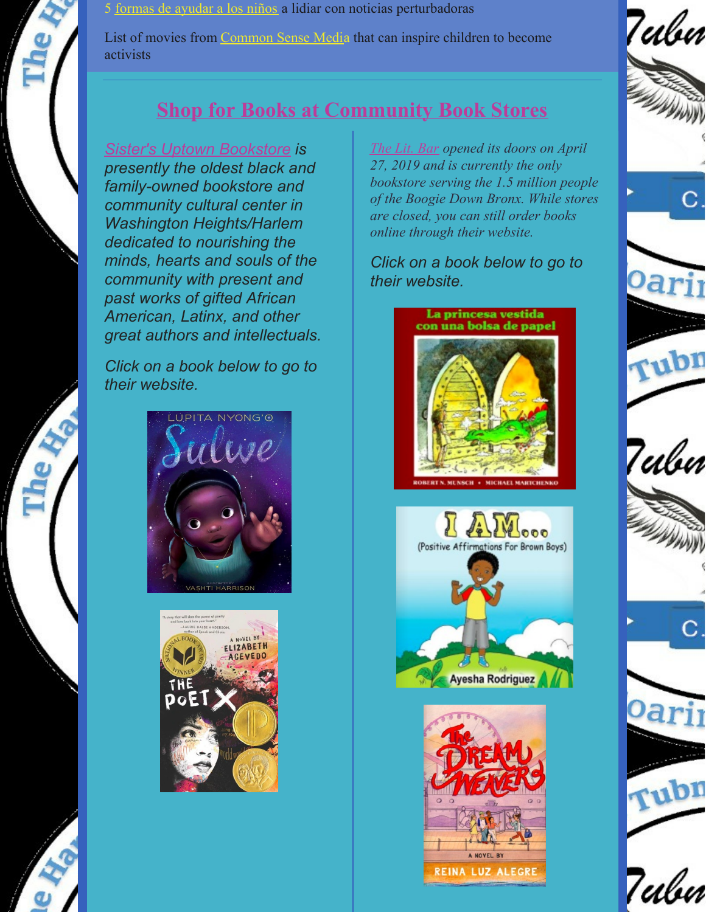5 [formas](https://www.commonsensemedia.org/videos/5-formas-de-ayudar-a-los-ninos-a-lidiar-con-noticias-perturbadoras) de ayudar a los niños a lidiar con noticias perturbadoras

List of movies from [Common](https://www.commonsensemedia.org/lists/movies-that-inspire-kids-to-change-the-world) Sense Media that can inspire children to become activists

## **Shop for Books at Community Book Stores**

*Sister's Uptown [Bookstore](http://www.sistersuptownbookstore.com/) is presently the oldest black and family-owned bookstore and community cultural center in Washington Heights/Harlem dedicated to nourishing the minds, hearts and souls of the community with present and past works of gifted African American, Latinx, and other great authors and intellectuals.*

*Click on a book below to go to their website.*





*[The](https://bookshop.org/shop/thelitbar) Lit. Bar opened its doors on April 27, 2019 and is currently the only bookstore serving the 1.5 million people of the Boogie Down Bronx. While stores are closed, you can still order books online through their website.*

*Click on a book below to go to their website.*